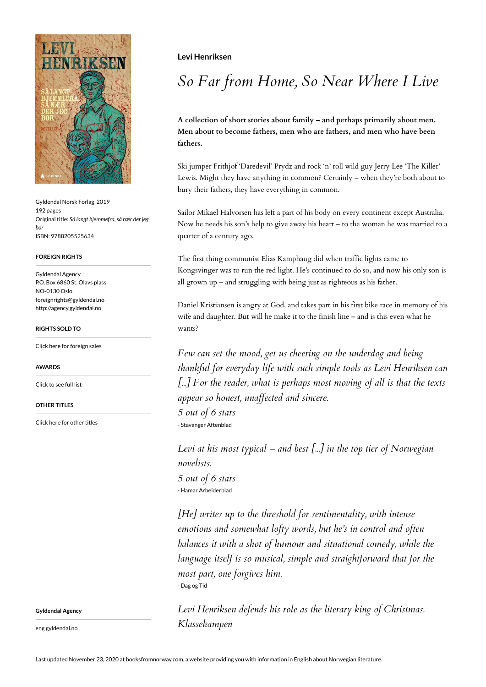

Gyldendal Norsk Forlag 2019 192 pages Original title: *Så langt hjemmefra, så nær der jeg bor* ISBN: 9788205525634

### **FOREIGN RIGHTS**

Gyldendal Agency P.O. Box 6860 St. Olavs plass NO-0130 Oslo foreignrights@gyldendal.no http://agency.gyldendal.no

### **RIGHTS SOLD TO**

[Click here for foreign sales](https://agency.gyldendal.no/authors/henriksen-levi/a-17250-en/)

**AWARDS**

[Click to see full list](https://agency.gyldendal.no/authors/henriksen-levi/a-17250-en/)

**OTHER TITLES**

[Click here for other titles](https://agency.gyldendal.no/authors/henriksen-levi/a-17250-en/)

**Levi Henriksen**

# *So Far from Home, So Near Where I Live*

**A collection of short stories about family – and perhaps primarily about men. Men about to become fathers, men who are fathers, and men who have been fathers.** 

Ski jumper Frithjof 'Daredevil' Prydz and rock 'n' roll wild guy Jerry Lee 'The Killer' Lewis. Might they have anything in common? Certainly – when they're both about to bury their fathers, they have everything in common.

Sailor Mikael Halvorsen has left a part of his body on every continent except Australia. Now he needs his son's help to give away his heart – to the woman he was married to a quarter of a century ago.

The first thing communist Elias Kamphaug did when traffic lights came to Kongsvinger was to run the red light. He's continued to do so, and now his only son is all grown up – and struggling with being just as righteous as his father.

Daniel Kristiansen is angry at God, and takes part in his first bike race in memory of his wife and daughter. But will he make it to the finish line – and is this even what he wants?

*Few can set the mood, get us cheering on the underdog and being thankful for everyday life with such simple tools as Levi Henriksen can [...] For the reader, what is perhaps most moving of all is that the texts appear so honest, unaffected and sincere.*

*5 out of 6 stars* - Stavanger Aftenblad

*Levi at his most typical – and best [...] in the top tier of Norwegian novelists. 5 out of 6 stars* - Hamar Arbeiderblad

*[He] writes up to the threshold for sentimentality, with intense emotions and somewhat lofty words, but he's in control and often balances it with a shot of humour and situational comedy, while the language itself is so musical, simple and straightforward that for the most part, one forgives him.* - Dag og Tid

*Levi Henriksen defends his role as the literary king of Christmas. Klassekampen*

**Gyldendal Agency**

eng.gyldendal.no